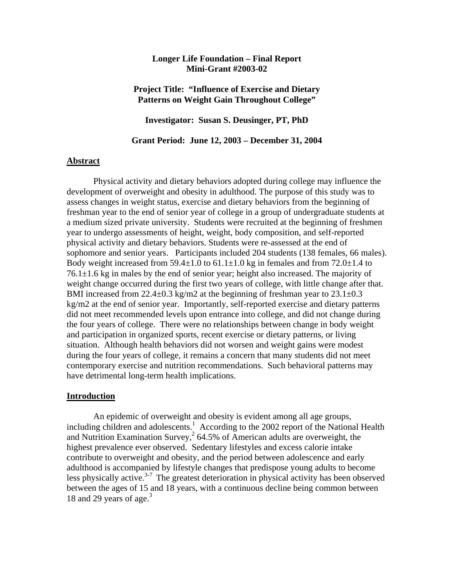## **Longer Life Foundation – Final Report Mini-Grant #2003-02**

## **Project Title: "Influence of Exercise and Dietary Patterns on Weight Gain Throughout College"**

**Investigator: Susan S. Deusinger, PT, PhD** 

**Grant Period: June 12, 2003 – December 31, 2004** 

## **Abstract**

Physical activity and dietary behaviors adopted during college may influence the development of overweight and obesity in adulthood. The purpose of this study was to assess changes in weight status, exercise and dietary behaviors from the beginning of freshman year to the end of senior year of college in a group of undergraduate students at a medium sized private university. Students were recruited at the beginning of freshmen year to undergo assessments of height, weight, body composition, and self-reported physical activity and dietary behaviors. Students were re-assessed at the end of sophomore and senior years. Participants included 204 students (138 females, 66 males). Body weight increased from 59.4 $\pm$ 1.0 to 61.1 $\pm$ 1.0 kg in females and from 72.0 $\pm$ 1.4 to  $76.1\pm1.6$  kg in males by the end of senior year; height also increased. The majority of weight change occurred during the first two years of college, with little change after that. BMI increased from  $22.4 \pm 0.3$  kg/m2 at the beginning of freshman year to  $23.1 \pm 0.3$ kg/m2 at the end of senior year. Importantly, self-reported exercise and dietary patterns did not meet recommended levels upon entrance into college, and did not change during the four years of college. There were no relationships between change in body weight and participation in organized sports, recent exercise or dietary patterns, or living situation. Although health behaviors did not worsen and weight gains were modest during the four years of college, it remains a concern that many students did not meet contemporary exercise and nutrition recommendations. Such behavioral patterns may have detrimental long-term health implications.

#### **Introduction**

 An epidemic of overweight and obesity is evident among all age groups, including children and adolescents.<sup>1</sup> According to the 2002 report of the National Health and Nutrition Examination Survey,  $264.5\%$  of American adults are overweight, the highest prevalence ever observed. Sedentary lifestyles and excess calorie intake contribute to overweight and obesity, and the period between adolescence and early adulthood is accompanied by lifestyle changes that predispose young adults to become less physically active. $3-7$  The greatest deterioration in physical activity has been observed between the ages of 15 and 18 years, with a continuous decline being common between 18 and 29 years of age.<sup>3</sup>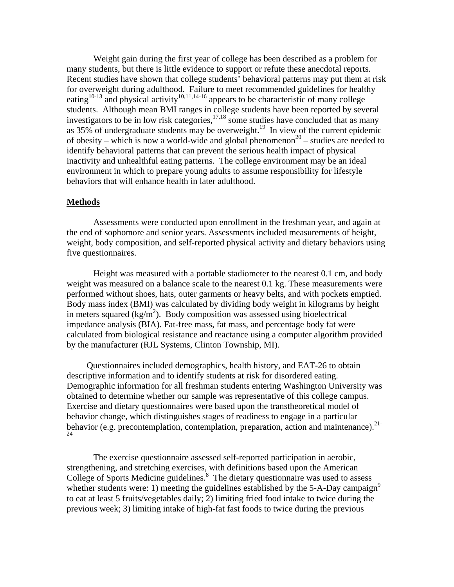Weight gain during the first year of college has been described as a problem for many students, but there is little evidence to support or refute these anecdotal reports. Recent studies have shown that college students' behavioral patterns may put them at risk for overweight during adulthood. Failure to meet recommended guidelines for healthy eating<sup>10-13</sup> and physical activity<sup>10,11,14-16</sup> appears to be characteristic of many college students. Although mean BMI ranges in college students have been reported by several investigators to be in low risk categories,  $17,18$  some studies have concluded that as many as  $35\%$  of undergraduate students may be overweight.<sup>19</sup> In view of the current epidemic of obesity – which is now a world-wide and global phenomenon<sup>20</sup> – studies are needed to identify behavioral patterns that can prevent the serious health impact of physical inactivity and unhealthful eating patterns. The college environment may be an ideal environment in which to prepare young adults to assume responsibility for lifestyle behaviors that will enhance health in later adulthood.

## **Methods**

Assessments were conducted upon enrollment in the freshman year, and again at the end of sophomore and senior years. Assessments included measurements of height, weight, body composition, and self-reported physical activity and dietary behaviors using five questionnaires.

Height was measured with a portable stadiometer to the nearest 0.1 cm, and body weight was measured on a balance scale to the nearest 0.1 kg. These measurements were performed without shoes, hats, outer garments or heavy belts, and with pockets emptied. Body mass index (BMI) was calculated by dividing body weight in kilograms by height in meters squared  $(kg/m<sup>2</sup>)$ . Body composition was assessed using bioelectrical impedance analysis (BIA). Fat-free mass, fat mass, and percentage body fat were calculated from biological resistance and reactance using a computer algorithm provided by the manufacturer (RJL Systems, Clinton Township, MI).

Questionnaires included demographics, health history, and EAT-26 to obtain descriptive information and to identify students at risk for disordered eating. Demographic information for all freshman students entering Washington University was obtained to determine whether our sample was representative of this college campus. Exercise and dietary questionnaires were based upon the transtheoretical model of behavior change, which distinguishes stages of readiness to engage in a particular behavior (e.g. precontemplation, contemplation, preparation, action and maintenance).<sup>21-</sup> 24

The exercise questionnaire assessed self-reported participation in aerobic, strengthening, and stretching exercises, with definitions based upon the American College of Sports Medicine guidelines.<sup>8</sup> The dietary questionnaire was used to assess whether students were: 1) meeting the guidelines established by the 5-A-Day campaign<sup>9</sup> to eat at least 5 fruits/vegetables daily; 2) limiting fried food intake to twice during the previous week; 3) limiting intake of high-fat fast foods to twice during the previous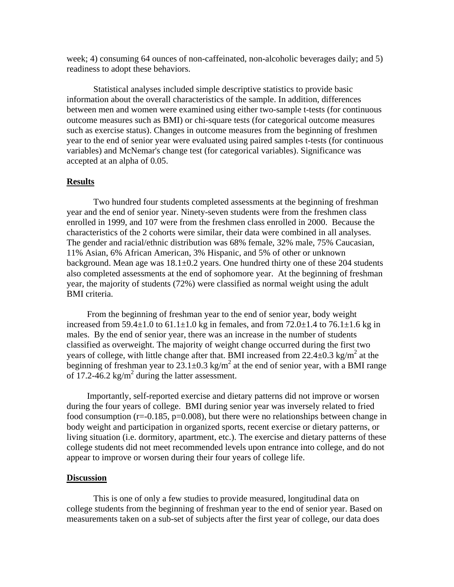week; 4) consuming 64 ounces of non-caffeinated, non-alcoholic beverages daily; and 5) readiness to adopt these behaviors.

Statistical analyses included simple descriptive statistics to provide basic information about the overall characteristics of the sample. In addition, differences between men and women were examined using either two-sample t-tests (for continuous outcome measures such as BMI) or chi-square tests (for categorical outcome measures such as exercise status). Changes in outcome measures from the beginning of freshmen year to the end of senior year were evaluated using paired samples t-tests (for continuous variables) and McNemar's change test (for categorical variables). Significance was accepted at an alpha of 0.05.

#### **Results**

 Two hundred four students completed assessments at the beginning of freshman year and the end of senior year. Ninety-seven students were from the freshmen class enrolled in 1999, and 107 were from the freshmen class enrolled in 2000. Because the characteristics of the 2 cohorts were similar, their data were combined in all analyses. The gender and racial/ethnic distribution was 68% female, 32% male, 75% Caucasian, 11% Asian, 6% African American, 3% Hispanic, and 5% of other or unknown background. Mean age was  $18.1 \pm 0.2$  years. One hundred thirty one of these 204 students also completed assessments at the end of sophomore year. At the beginning of freshman year, the majority of students (72%) were classified as normal weight using the adult BMI criteria.

From the beginning of freshman year to the end of senior year, body weight increased from  $59.4\pm1.0$  to  $61.1\pm1.0$  kg in females, and from  $72.0\pm1.4$  to  $76.1\pm1.6$  kg in males. By the end of senior year, there was an increase in the number of students classified as overweight. The majority of weight change occurred during the first two years of college, with little change after that. BMI increased from  $22.4\pm0.3$  kg/m<sup>2</sup> at the beginning of freshman year to  $23.1 \pm 0.3$  kg/m<sup>2</sup> at the end of senior year, with a BMI range of  $17.2 - 46.2$  kg/m<sup>2</sup> during the latter assessment.

Importantly, self-reported exercise and dietary patterns did not improve or worsen during the four years of college. BMI during senior year was inversely related to fried food consumption ( $r=-0.185$ ,  $p=0.008$ ), but there were no relationships between change in body weight and participation in organized sports, recent exercise or dietary patterns, or living situation (i.e. dormitory, apartment, etc.). The exercise and dietary patterns of these college students did not meet recommended levels upon entrance into college, and do not appear to improve or worsen during their four years of college life.

#### **Discussion**

This is one of only a few studies to provide measured, longitudinal data on college students from the beginning of freshman year to the end of senior year. Based on measurements taken on a sub-set of subjects after the first year of college, our data does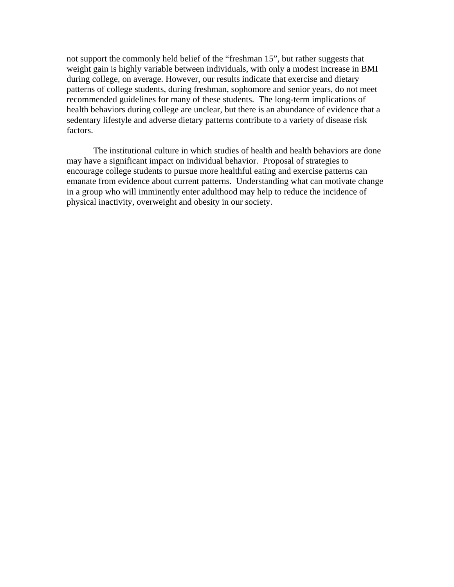not support the commonly held belief of the "freshman 15", but rather suggests that weight gain is highly variable between individuals, with only a modest increase in BMI during college, on average. However, our results indicate that exercise and dietary patterns of college students, during freshman, sophomore and senior years, do not meet recommended guidelines for many of these students. The long-term implications of health behaviors during college are unclear, but there is an abundance of evidence that a sedentary lifestyle and adverse dietary patterns contribute to a variety of disease risk factors.

The institutional culture in which studies of health and health behaviors are done may have a significant impact on individual behavior. Proposal of strategies to encourage college students to pursue more healthful eating and exercise patterns can emanate from evidence about current patterns. Understanding what can motivate change in a group who will imminently enter adulthood may help to reduce the incidence of physical inactivity, overweight and obesity in our society.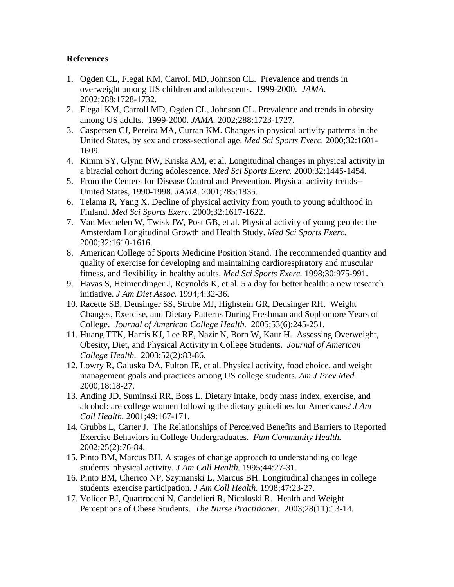# **References**

- 1. Ogden CL, Flegal KM, Carroll MD, Johnson CL. Prevalence and trends in overweight among US children and adolescents. 1999-2000. *JAMA.* 2002;288:1728-1732.
- 2. Flegal KM, Carroll MD, Ogden CL, Johnson CL. Prevalence and trends in obesity among US adults. 1999-2000. *JAMA.* 2002;288:1723-1727.
- 3. Caspersen CJ, Pereira MA, Curran KM. Changes in physical activity patterns in the United States, by sex and cross-sectional age. *Med Sci Sports Exerc.* 2000;32:1601- 1609.
- 4. Kimm SY, Glynn NW, Kriska AM, et al. Longitudinal changes in physical activity in a biracial cohort during adolescence. *Med Sci Sports Exerc.* 2000;32:1445-1454.
- 5. From the Centers for Disease Control and Prevention. Physical activity trends-- United States, 1990-1998. *JAMA.* 2001;285:1835.
- 6. Telama R, Yang X. Decline of physical activity from youth to young adulthood in Finland. *Med Sci Sports Exerc.* 2000;32:1617-1622.
- 7. Van Mechelen W, Twisk JW, Post GB, et al. Physical activity of young people: the Amsterdam Longitudinal Growth and Health Study. *Med Sci Sports Exerc.* 2000;32:1610-1616.
- 8. American College of Sports Medicine Position Stand. The recommended quantity and quality of exercise for developing and maintaining cardiorespiratory and muscular fitness, and flexibility in healthy adults. *Med Sci Sports Exerc.* 1998;30:975-991.
- 9. Havas S, Heimendinger J, Reynolds K, et al. 5 a day for better health: a new research initiative. *J Am Diet Assoc.* 1994;4:32-36.
- 10. Racette SB, Deusinger SS, Strube MJ, Highstein GR, Deusinger RH. Weight Changes, Exercise, and Dietary Patterns During Freshman and Sophomore Years of College. *Journal of American College Health.* 2005;53(6):245-251.
- 11. Huang TTK, Harris KJ, Lee RE, Nazir N, Born W, Kaur H. Assessing Overweight, Obesity, Diet, and Physical Activity in College Students. *Journal of American College Health.* 2003;52(2):83-86.
- 12. Lowry R, Galuska DA, Fulton JE, et al. Physical activity, food choice, and weight management goals and practices among US college students. *Am J Prev Med.* 2000;18:18-27.
- 13. Anding JD, Suminski RR, Boss L. Dietary intake, body mass index, exercise, and alcohol: are college women following the dietary guidelines for Americans? *J Am Coll Health.* 2001;49:167-171.
- 14. Grubbs L, Carter J. The Relationships of Perceived Benefits and Barriers to Reported Exercise Behaviors in College Undergraduates. *Fam Community Health.* 2002;25(2):76-84.
- 15. Pinto BM, Marcus BH. A stages of change approach to understanding college students' physical activity. *J Am Coll Health.* 1995;44:27-31.
- 16. Pinto BM, Cherico NP, Szymanski L, Marcus BH. Longitudinal changes in college students' exercise participation. *J Am Coll Health.* 1998;47:23-27.
- 17. Volicer BJ, Quattrocchi N, Candelieri R, Nicoloski R. Health and Weight Perceptions of Obese Students. *The Nurse Practitioner.* 2003;28(11):13-14.